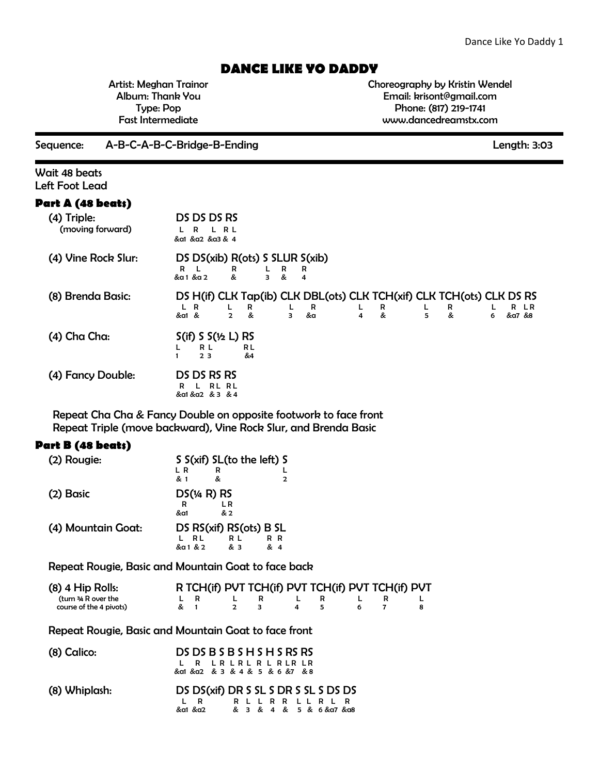## **DANCE LIKE YO DADDY**

Artist: Meghan Trainor Album: Thank You Type: Pop Fast Intermediate

Choreography by Kristin Wendel Email: krisont@gmail.com Phone: (817) 219-1741 www.dancedreamstx.com

Sequence: A-B-C-A-B-C-Bridge-B-Ending Length: 3:03

Wait 48 beats Left Foot Lead

## **Part A (48 beats)**

| (4) Triple:<br>(moving forward) | DS DS DS RS<br>R L<br>R.<br>&al &a2 &a3 & 4                                                                                                                                                |
|---------------------------------|--------------------------------------------------------------------------------------------------------------------------------------------------------------------------------------------|
| (4) Vine Rock Slur:             | DS DS(xib) R(ots) S SLUR S(xib)<br>R<br>R<br>R<br>R<br>&a1 &a2<br>&<br>&<br>з<br>4                                                                                                         |
| (8) Brenda Basic:               | DS H(if) CLK Tap(ib) CLK DBL(ots) CLK TCH(xif) CLK TCH(ots) CLK DS RS<br>R<br>R<br>R LR<br>R<br>R<br>R<br>н.<br>&a1 &<br>&a<br>&a7 &8<br>&<br>&<br>&<br>$\overline{2}$<br>3<br>5<br>4<br>6 |
| (4) Cha Cha:                    | $S(if) S S(\frac{1}{2} L) RS$<br>R L<br>R L<br>&4<br>23                                                                                                                                    |
| (4) Fancy Double:               | DS DS RS RS<br>RL RL<br>R<br>&a1 &a2 & 3 & 4                                                                                                                                               |

Repeat Cha Cha & Fancy Double on opposite footwork to face front Repeat Triple (move backward), Vine Rock Slur, and Brenda Basic

## **Part B (48 beats)**

| (2) Rougie:        |                         | S S(xif) SL(to the left) S |              |  |
|--------------------|-------------------------|----------------------------|--------------|--|
|                    | L R                     | R                          |              |  |
|                    | & 1                     | &                          | $\mathbf{2}$ |  |
| (2) Basic          |                         |                            |              |  |
|                    | R                       | L R                        |              |  |
|                    | &a1                     | & 2                        |              |  |
| (4) Mountain Goat: | DS RS(xif) RS(ots) B SL |                            |              |  |
|                    | R L.                    | R L                        | R R          |  |
|                    | &a 1 & 2                | & 3                        | & 4          |  |

Repeat Rougie, Basic and Mountain Goat to face back

| $(8)$ 4 Hip Rolls:      |     |              | R TCH(if) PVT TCH(if) PVT TCH(if) PVT TCH(if) PVT |     |     |  |
|-------------------------|-----|--------------|---------------------------------------------------|-----|-----|--|
| (turn ¾ R over the      |     | $\mathbf{R}$ | $\mathbf{R}$                                      | L R | L R |  |
| course of the 4 pivots) | & 1 |              | 2 3                                               |     |     |  |

Repeat Rougie, Basic and Mountain Goat to face front

| $(8)$ Calico: | DS DS B S B S H S H S RS RS<br>L R LR LR L R L R LR LR<br>&a1 &a2 & 3 & 4 & 5 & 6 &7 & 8              |
|---------------|-------------------------------------------------------------------------------------------------------|
| (8) Whiplash: | DS DS(xif) DR S SL S DR S SL S DS DS<br>R L L R R L L R L R<br>LR.<br>&a1 &a2 & 3 & 4 & 5 & 6 &a7 &a8 |